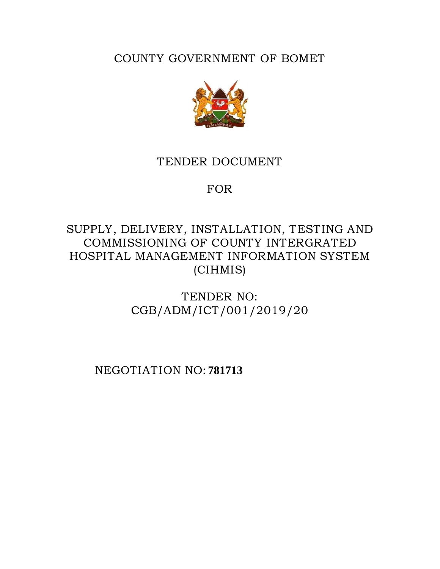COUNTY GOVERNMENT OF BOMET



# TENDER DOCUMENT

# FOR

# SUPPLY, DELIVERY, INSTALLATION, TESTING AND COMMISSIONING OF COUNTY INTERGRATED HOSPITAL MANAGEMENT INFORMATION SYSTEM (CIHMIS)

TENDER NO: CGB/ADM/ICT/001/2019/20

NEGOTIATION NO: **781713**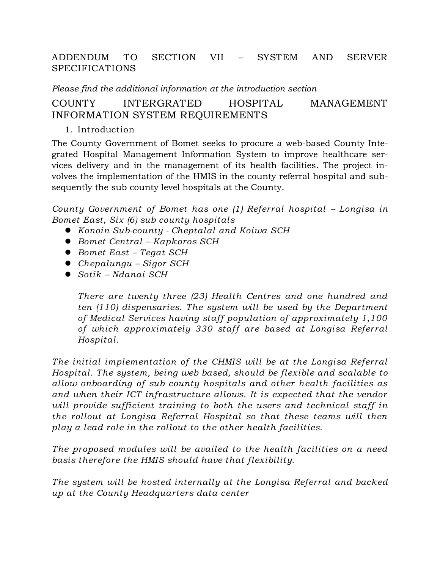#### ADDENDUM TO SECTION VII – SYSTEM AND SERVER SPECIFICATIONS

*Please find the additional information at the introduction section*

### COUNTY INTERGRATED HOSPITAL MANAGEMENT INFORMATION SYSTEM REQUIREMENTS

1. Introduction

The County Government of Bomet seeks to procure a web-based County Integrated Hospital Management Information System to improve healthcare services delivery and in the management of its health facilities. The project involves the implementation of the HMIS in the county referral hospital and subsequently the sub county level hospitals at the County.

*County Government of Bomet has one (1) Referral hospital - Longisa in Bomet East, Six (6) sub county hospitals* 

- *Konoin Sub-county - Cheptalal and Koiwa SCH*
- *Bomet Central – Kapkoros SCH*
- *Bomet East – Tegat SCH*
- *Chepalungu – Sigor SCH*
- *Sotik – Ndanai SCH*

*There are twenty three (23) Health Centres and one hundred and ten (110) dispensaries. The system will be used by the Department of Medical Services having staff population of approximately 1,100 of which approximately 330 staff are based at Longisa Referral Hospital.*

*The initial implementation of the CHMIS will be at the Longisa Referral Hospital. The system, being web based, should be flexible and scalable to allow onboarding of sub county hospitals and other health facilities as and when their ICT infrastructure allows. It is expected that the vendor will provide sufficient training to both the users and technical staff in the rollout at Longisa Referral Hospital so that these teams will then play a lead role in the rollout to the other health facilities.* 

*The proposed modules will be availed to the health facilities on a need basis therefore the HMIS should have that flexibility.*

*The system will be hosted internally at the Longisa Referral and backed up at the County Headquarters data center*